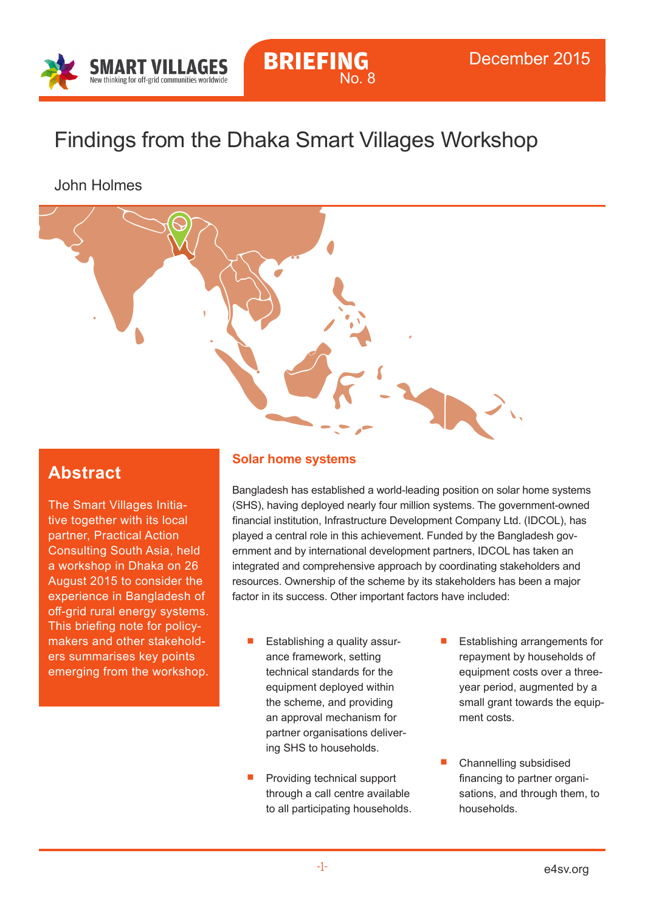

# Findings from the Dhaka Smart Villages Workshop

## John Holmes



## **Abstract**

The Smart Villages Initiative together with its local partner, Practical Action Consulting South Asia, held a workshop in Dhaka on 26 August 2015 to consider the experience in Bangladesh of off-grid rural energy systems. This briefing note for policymakers and other stakeholders summarises key points emerging from the workshop.

### **Solar home systems**

Bangladesh has established a world-leading position on solar home systems (SHS), having deployed nearly four million systems. The government-owned financial institution, Infrastructure Development Company Ltd. (IDCOL), has played a central role in this achievement. Funded by the Bangladesh government and by international development partners, IDCOL has taken an integrated and comprehensive approach by coordinating stakeholders and resources. Ownership of the scheme by its stakeholders has been a major factor in its success. Other important factors have included:

- Establishing a quality assurance framework, setting technical standards for the equipment deployed within the scheme, and providing an approval mechanism for partner organisations delivering SHS to households.
- Providing technical support through a call centre available to all participating households.
- **Establishing arrangements for** repayment by households of equipment costs over a threeyear period, augmented by a small grant towards the equipment costs.
- Channelling subsidised financing to partner organisations, and through them, to households.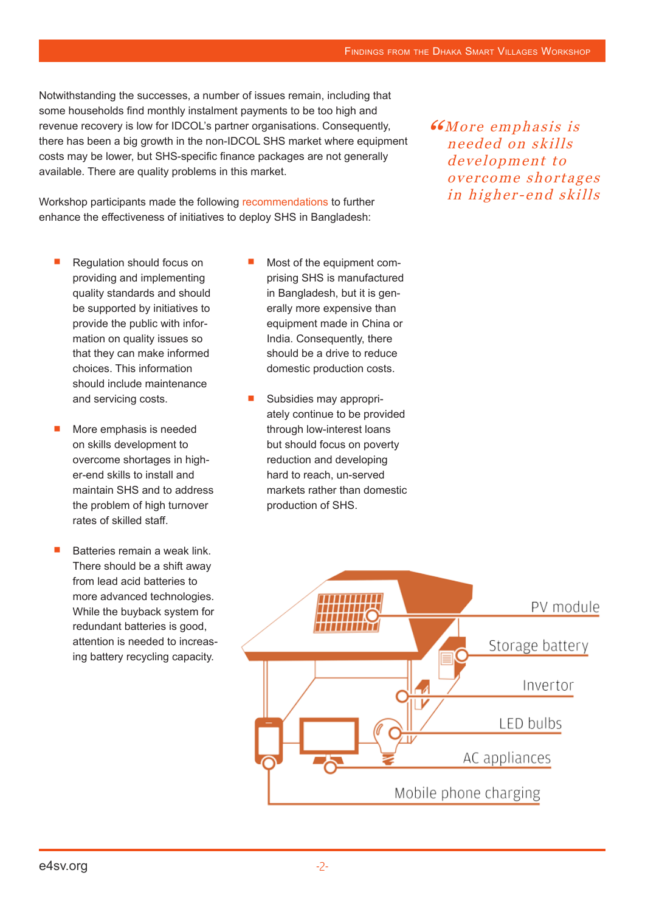Notwithstanding the successes, a number of issues remain, including that some households find monthly instalment payments to be too high and revenue recovery is low for IDCOL's partner organisations. Consequently, there has been a big growth in the non-IDCOL SHS market where equipment costs may be lower, but SHS-specific finance packages are not generally available. There are quality problems in this market.

Workshop participants made the following recommendations to further enhance the effectiveness of initiatives to deploy SHS in Bangladesh:

- Regulation should focus on providing and implementing quality standards and should be supported by initiatives to provide the public with information on quality issues so that they can make informed choices. This information should include maintenance and servicing costs.
- More emphasis is needed on skills development to overcome shortages in higher-end skills to install and maintain SHS and to address the problem of high turnover rates of skilled staff.
- Batteries remain a weak link. There should be a shift away from lead acid batteries to more advanced technologies. While the buyback system for redundant batteries is good, attention is needed to increasing battery recycling capacity.
- Most of the equipment comprising SHS is manufactured in Bangladesh, but it is generally more expensive than equipment made in China or India. Consequently, there should be a drive to reduce domestic production costs.
- Subsidies may appropriately continue to be provided through low-interest loans but should focus on poverty reduction and developing hard to reach, un-served markets rather than domestic production of SHS.

**"GMore emphasis is** needed on skills development to overcome shortages in higher-end skills

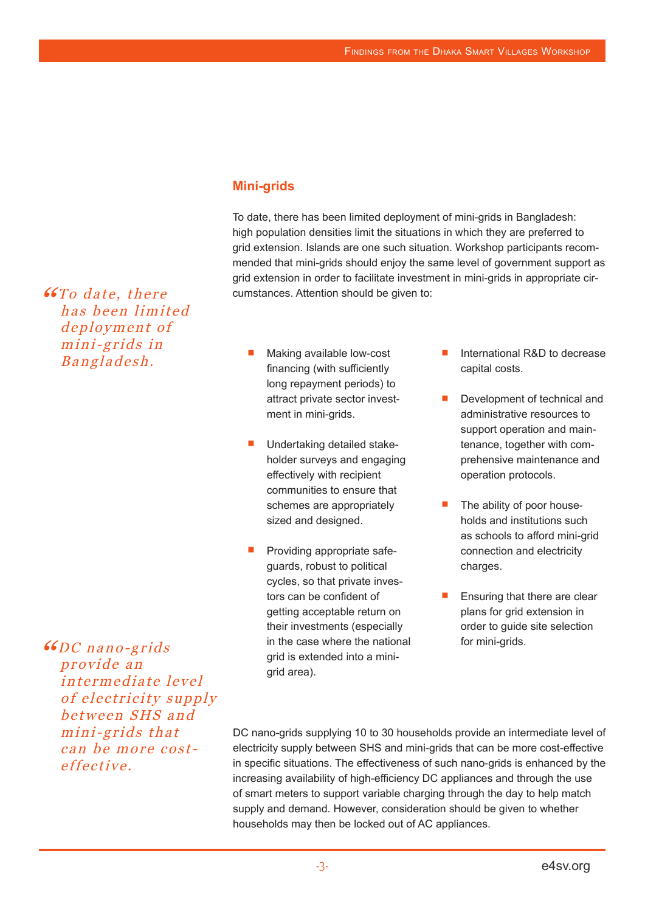#### **Mini-grids**

To date, there has been limited deployment of mini-grids in Bangladesh: high population densities limit the situations in which they are preferred to grid extension. Islands are one such situation. Workshop participants recommended that mini-grids should enjoy the same level of government support as grid extension in order to facilitate investment in mini-grids in appropriate circumstances. Attention should be given to:

- Making available low-cost financing (with sufficiently long repayment periods) to attract private sector investment in mini-grids.
- Undertaking detailed stakeholder surveys and engaging effectively with recipient communities to ensure that schemes are appropriately sized and designed.
- Providing appropriate safeguards, robust to political cycles, so that private investors can be confident of getting acceptable return on their investments (especially in the case where the national grid is extended into a mini grid area).
- International R&D to decrease capital costs.
- Development of technical and administrative resources to support operation and maintenance, together with comprehensive maintenance and operation protocols.
- The ability of poor households and institutions such as schools to afford mini-grid connection and electricity charges.
- Ensuring that there are clear plans for grid extension in order to guide site selection for mini-grids.

"DC nano-grids provide an intermediate level of electricity supply between SHS and mini-grids that can be more costeffective.

**"GTo date, there** 

has been limited deployment of mini-grids in Bangladesh.

> DC nano-grids supplying 10 to 30 households provide an intermediate level of electricity supply between SHS and mini-grids that can be more cost-effective in specific situations. The effectiveness of such nano-grids is enhanced by the increasing availability of high-efficiency DC appliances and through the use of smart meters to support variable charging through the day to help match supply and demand. However, consideration should be given to whether households may then be locked out of AC appliances.